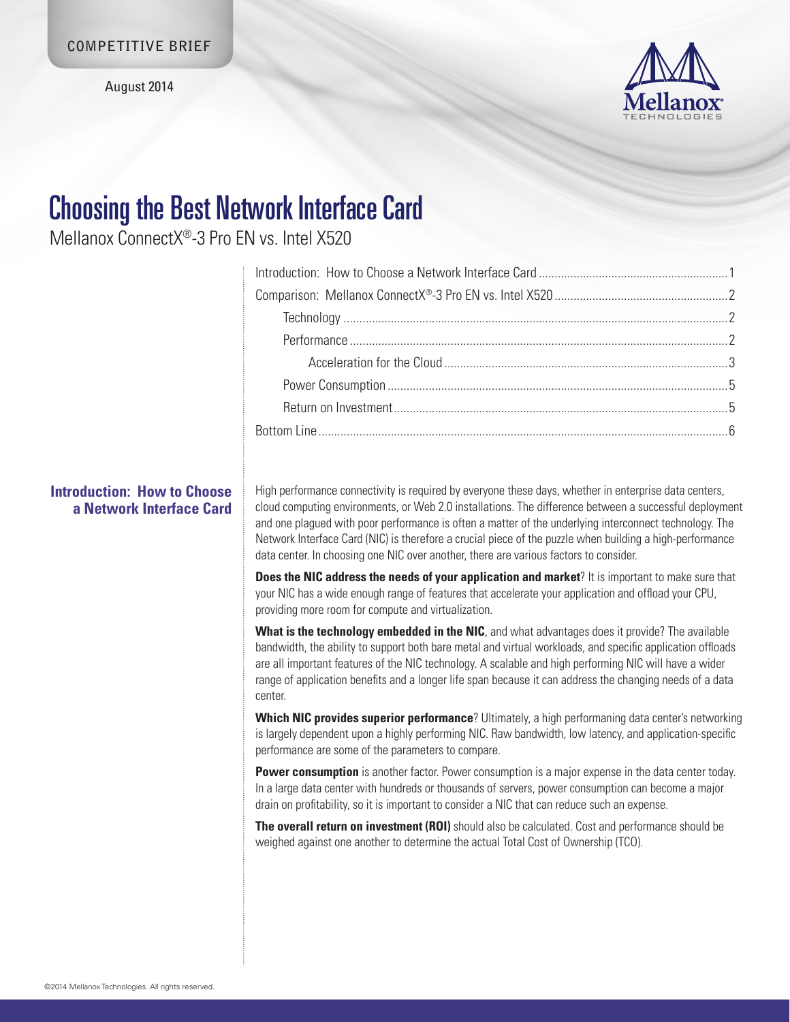August 2014



# Choosing the Best Network Interface Card

Mellanox ConnectX®-3 Pro EN vs. Intel X520

# **Introduction: How to Choose a Network Interface Card**

High performance connectivity is required by everyone these days, whether in enterprise data centers, cloud computing environments, or Web 2.0 installations. The difference between a successful deployment and one plagued with poor performance is often a matter of the underlying interconnect technology. The Network Interface Card (NIC) is therefore a crucial piece of the puzzle when building a high-performance data center. In choosing one NIC over another, there are various factors to consider.

**Does the NIC address the needs of your application and market?** It is important to make sure that your NIC has a wide enough range of features that accelerate your application and offload your CPU, providing more room for compute and virtualization.

**What is the technology embedded in the NIC**, and what advantages does it provide? The available bandwidth, the ability to support both bare metal and virtual workloads, and specific application offloads are all important features of the NIC technology. A scalable and high performing NIC will have a wider range of application benefits and a longer life span because it can address the changing needs of a data center.

**Which NIC provides superior performance**? Ultimately, a high performaning data center's networking is largely dependent upon a highly performing NIC. Raw bandwidth, low latency, and application-specific performance are some of the parameters to compare.

**Power consumption** is another factor. Power consumption is a major expense in the data center today. In a large data center with hundreds or thousands of servers, power consumption can become a major drain on profitability, so it is important to consider a NIC that can reduce such an expense.

**The overall return on investment (ROI)** should also be calculated. Cost and performance should be weighed against one another to determine the actual Total Cost of Ownership (TCO).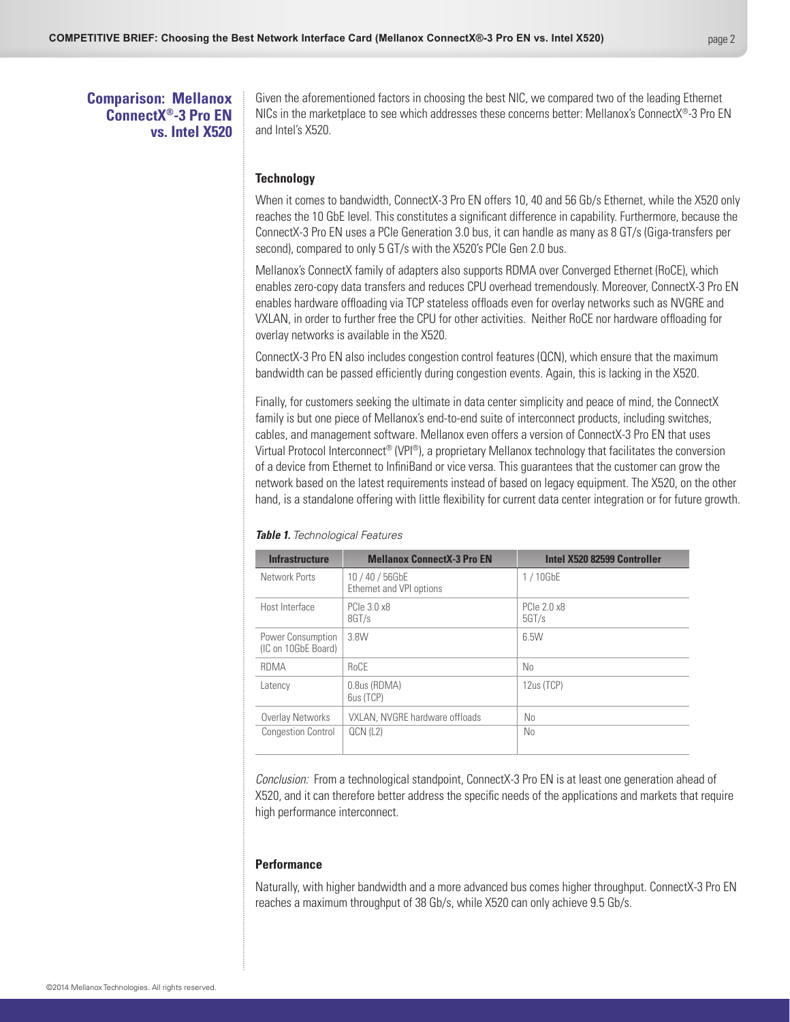## <span id="page-1-0"></span>**Comparison: Mellanox ConnectX®-3 Pro EN vs. Intel X520**

Given the aforementioned factors in choosing the best NIC, we compared two of the leading Ethernet NICs in the marketplace to see which addresses these concerns better: Mellanox's ConnectX®-3 Pro EN and Intel's X520.

## <span id="page-1-1"></span>**Technology**

When it comes to bandwidth, ConnectX-3 Pro EN offers 10, 40 and 56 Gb/s Ethernet, while the X520 only reaches the 10 GbE level. This constitutes a significant difference in capability. Furthermore, because the ConnectX-3 Pro EN uses a PCIe Generation 3.0 bus, it can handle as many as 8 GT/s (Giga-transfers per second), compared to only 5 GT/s with the X520's PCIe Gen 2.0 bus.

Mellanox's ConnectX family of adapters also supports RDMA over Converged Ethernet (RoCE), which enables zero-copy data transfers and reduces CPU overhead tremendously. Moreover, ConnectX-3 Pro EN enables hardware offloading via TCP stateless offloads even for overlay networks such as NVGRE and VXLAN, in order to further free the CPU for other activities. Neither RoCE nor hardware offloading for overlay networks is available in the X520.

ConnectX-3 Pro EN also includes congestion control features (QCN), which ensure that the maximum bandwidth can be passed efficiently during congestion events. Again, this is lacking in the X520.

Finally, for customers seeking the ultimate in data center simplicity and peace of mind, the ConnectX family is but one piece of Mellanox's end-to-end suite of interconnect products, including switches, cables, and management software. Mellanox even offers a version of ConnectX-3 Pro EN that uses Virtual Protocol Interconnect® (VPI®), a proprietary Mellanox technology that facilitates the conversion of a device from Ethernet to InfiniBand or vice versa. This guarantees that the customer can grow the network based on the latest requirements instead of based on legacy equipment. The X520, on the other hand, is a standalone offering with little flexibility for current data center integration or for future growth.

| <b>Infrastructure</b>                    | <b>Mellanox ConnectX-3 Pro EN</b>           | Intel X520 82599 Controller |
|------------------------------------------|---------------------------------------------|-----------------------------|
| Network Ports                            | 10 / 40 / 56GbE<br>Ethernet and VPI options | 1/10GbE                     |
| Host Interface                           | PCIe 3.0 x8<br>8GT/s                        | PCIe 2.0 x8<br>5G T/s       |
| Power Consumption<br>(IC on 10GbE Board) | 3.8W                                        | 6.5W                        |
| <b>RDMA</b>                              | <b>RoCE</b>                                 | No                          |
| Latency                                  | 0.8us (RDMA)<br>6us (TCP)                   | 12us (TCP)                  |
| Overlay Networks                         | VXLAN, NVGRE hardware offloads              | No                          |
| <b>Congestion Control</b>                | QCN (L2)                                    | N <sub>0</sub>              |

#### *Table 1. Technological Features*

*Conclusion:* From a technological standpoint, ConnectX-3 Pro EN is at least one generation ahead of X520, and it can therefore better address the specific needs of the applications and markets that require high performance interconnect.

### <span id="page-1-2"></span>**Performance**

Naturally, with higher bandwidth and a more advanced bus comes higher throughput. ConnectX-3 Pro EN reaches a maximum throughput of 38 Gb/s, while X520 can only achieve 9.5 Gb/s.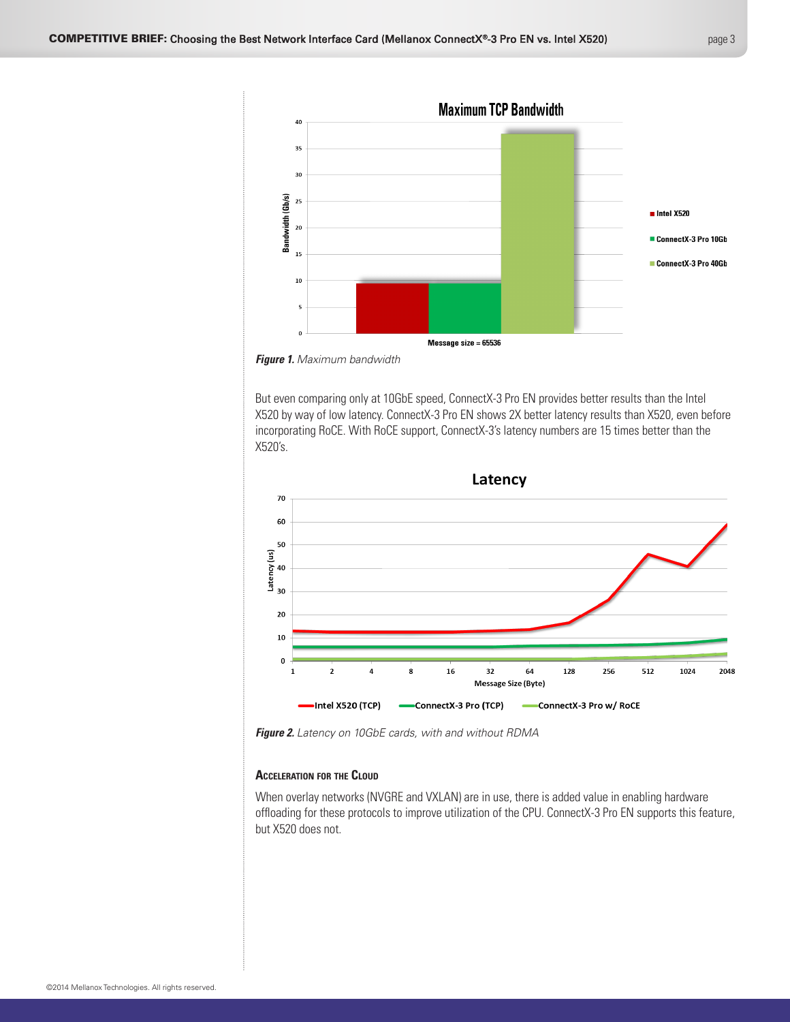

*Figure 1. Maximum bandwidth*

But even comparing only at 10GbE speed, ConnectX-3 Pro EN provides better results than the Intel X520 by way of low latency. ConnectX-3 Pro EN shows 2X better latency results than X520, even before incorporating RoCE. With RoCE support, ConnectX-3's latency numbers are 15 times better than the X520's.



*Figure 2. Latency on 10GbE cards, with and without RDMA*

## <span id="page-2-0"></span>**Acceleration for the Cloud**

When overlay networks (NVGRE and VXLAN) are in use, there is added value in enabling hardware offloading for these protocols to improve utilization of the CPU. ConnectX-3 Pro EN supports this feature, but X520 does not.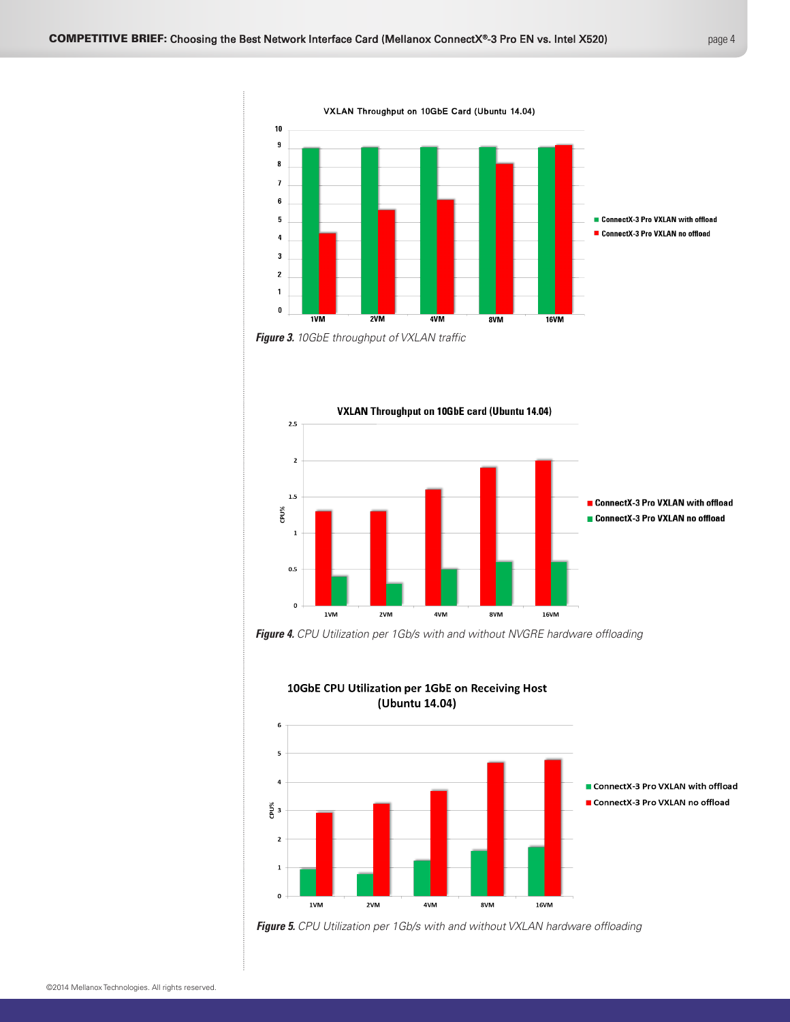









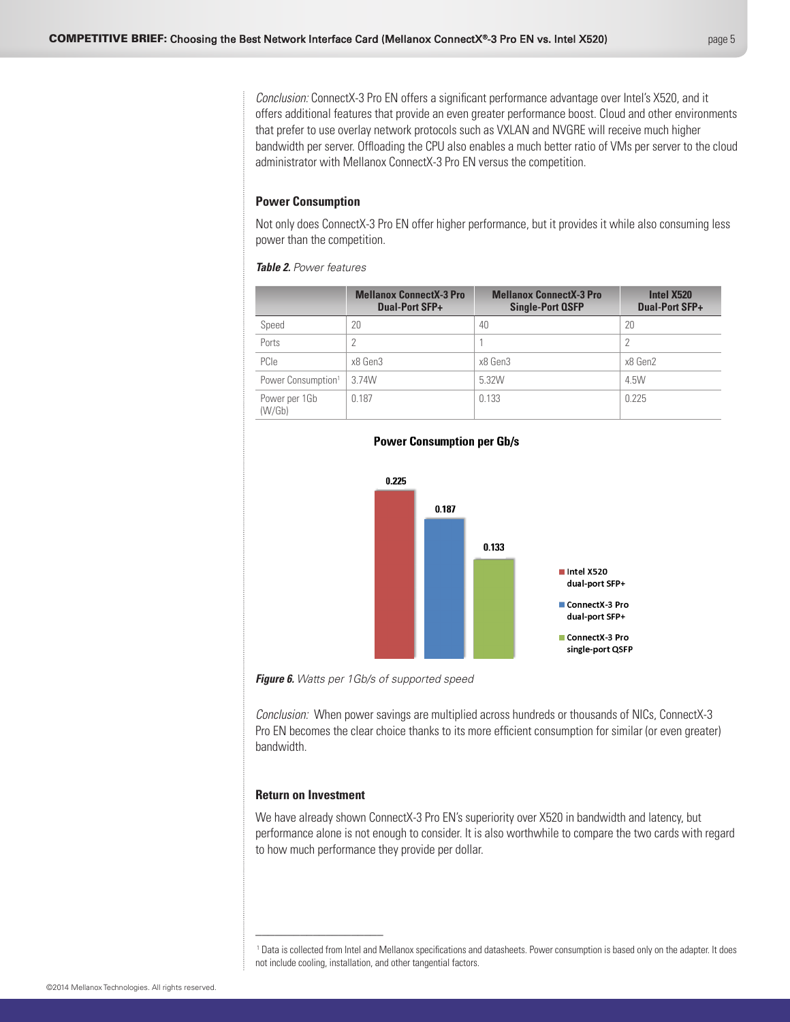<span id="page-4-0"></span>*Conclusion:* ConnectX-3 Pro EN offers a significant performance advantage over Intel's X520, and it offers additional features that provide an even greater performance boost. Cloud and other environments that prefer to use overlay network protocols such as VXLAN and NVGRE will receive much higher bandwidth per server. Offloading the CPU also enables a much better ratio of VMs per server to the cloud administrator with Mellanox ConnectX-3 Pro EN versus the competition.

### <span id="page-4-1"></span>**Power Consumption**

Not only does ConnectX-3 Pro EN offer higher performance, but it provides it while also consuming less power than the competition.

#### *Table 2. Power features*

|                                | <b>Mellanox ConnectX-3 Pro</b><br><b>Dual-Port SFP+</b> | <b>Mellanox ConnectX-3 Pro</b><br><b>Single-Port QSFP</b> | Intel X520<br><b>Dual-Port SFP+</b> |
|--------------------------------|---------------------------------------------------------|-----------------------------------------------------------|-------------------------------------|
| Speed                          | 20                                                      | 40                                                        | 20                                  |
| Ports                          | 2                                                       |                                                           |                                     |
| PCIe                           | x8 Gen3                                                 | x8 Gen3                                                   | x8 Gen2                             |
| Power Consumption <sup>1</sup> | 3.74W                                                   | 5.32W                                                     | 4.5W                                |
| Power per 1Gb<br>(W/Gb)        | 0.187                                                   | 0.133                                                     | 0.225                               |



#### **Power Consumption per Gb/s**

*Figure 6. Watts per 1Gb/s of supported speed*

*Conclusion:* When power savings are multiplied across hundreds or thousands of NICs, ConnectX-3 Pro EN becomes the clear choice thanks to its more efficient consumption for similar (or even greater) bandwidth.

dual-port SFP+ ■ ConnectX-3 Pro single-port QSFP

## <span id="page-4-2"></span>**Return on Investment**

\_\_\_\_\_\_\_\_\_\_\_\_\_\_\_\_\_\_\_\_

We have already shown ConnectX-3 Pro EN's superiority over X520 in bandwidth and latency, but performance alone is not enough to consider. It is also worthwhile to compare the two cards with regard to how much performance they provide per dollar.

<sup>1</sup> Data is collected from Intel and Mellanox specifications and datasheets. Power consumption is based only on the adapter. It does not include cooling, installation, and other tangential factors.